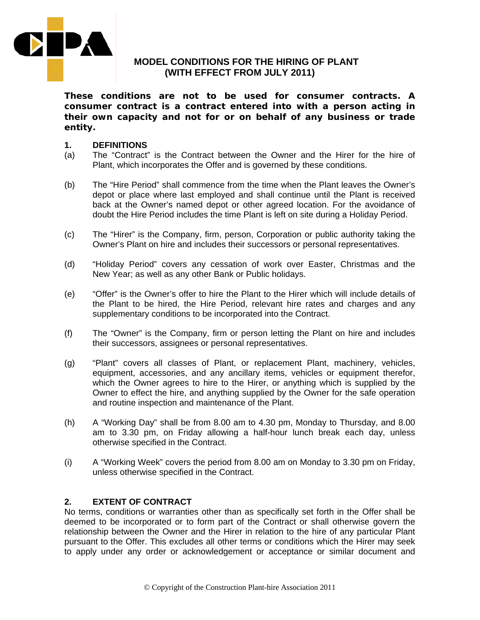

# **MODEL CONDITIONS FOR THE HIRING OF PLANT (WITH EFFECT FROM JULY 2011)**

**These conditions are not to be used for consumer contracts. A consumer contract is a contract entered into with a person acting in their own capacity and not for or on behalf of any business or trade entity.** 

#### **1. DEFINITIONS**

- (a) The "Contract" is the Contract between the Owner and the Hirer for the hire of Plant, which incorporates the Offer and is governed by these conditions.
- (b) The "Hire Period" shall commence from the time when the Plant leaves the Owner's depot or place where last employed and shall continue until the Plant is received back at the Owner's named depot or other agreed location. For the avoidance of doubt the Hire Period includes the time Plant is left on site during a Holiday Period.
- (c) The "Hirer" is the Company, firm, person, Corporation or public authority taking the Owner's Plant on hire and includes their successors or personal representatives.
- (d) "Holiday Period" covers any cessation of work over Easter, Christmas and the New Year; as well as any other Bank or Public holidays.
- (e) "Offer" is the Owner's offer to hire the Plant to the Hirer which will include details of the Plant to be hired, the Hire Period, relevant hire rates and charges and any supplementary conditions to be incorporated into the Contract.
- (f) The "Owner" is the Company, firm or person letting the Plant on hire and includes their successors, assignees or personal representatives.
- (g) "Plant" covers all classes of Plant, or replacement Plant, machinery, vehicles, equipment, accessories, and any ancillary items, vehicles or equipment therefor, which the Owner agrees to hire to the Hirer, or anything which is supplied by the Owner to effect the hire, and anything supplied by the Owner for the safe operation and routine inspection and maintenance of the Plant.
- (h) A "Working Day" shall be from 8.00 am to 4.30 pm, Monday to Thursday, and 8.00 am to 3.30 pm, on Friday allowing a half-hour lunch break each day, unless otherwise specified in the Contract.
- (i) A "Working Week" covers the period from 8.00 am on Monday to 3.30 pm on Friday, unless otherwise specified in the Contract.

## **2. EXTENT OF CONTRACT**

No terms, conditions or warranties other than as specifically set forth in the Offer shall be deemed to be incorporated or to form part of the Contract or shall otherwise govern the relationship between the Owner and the Hirer in relation to the hire of any particular Plant pursuant to the Offer. This excludes all other terms or conditions which the Hirer may seek to apply under any order or acknowledgement or acceptance or similar document and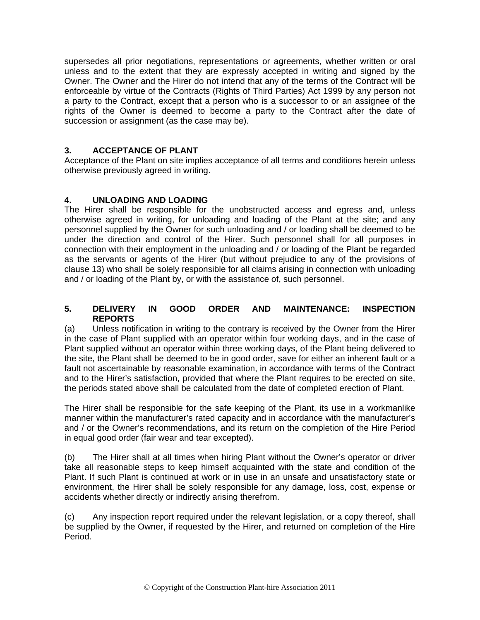supersedes all prior negotiations, representations or agreements, whether written or oral unless and to the extent that they are expressly accepted in writing and signed by the Owner. The Owner and the Hirer do not intend that any of the terms of the Contract will be enforceable by virtue of the Contracts (Rights of Third Parties) Act 1999 by any person not a party to the Contract, except that a person who is a successor to or an assignee of the rights of the Owner is deemed to become a party to the Contract after the date of succession or assignment (as the case may be).

# **3. ACCEPTANCE OF PLANT**

Acceptance of the Plant on site implies acceptance of all terms and conditions herein unless otherwise previously agreed in writing.

# **4. UNLOADING AND LOADING**

The Hirer shall be responsible for the unobstructed access and egress and, unless otherwise agreed in writing, for unloading and loading of the Plant at the site; and any personnel supplied by the Owner for such unloading and / or loading shall be deemed to be under the direction and control of the Hirer. Such personnel shall for all purposes in connection with their employment in the unloading and / or loading of the Plant be regarded as the servants or agents of the Hirer (but without prejudice to any of the provisions of clause 13) who shall be solely responsible for all claims arising in connection with unloading and / or loading of the Plant by, or with the assistance of, such personnel.

#### **5. DELIVERY IN GOOD ORDER AND MAINTENANCE: INSPECTION REPORTS**

(a) Unless notification in writing to the contrary is received by the Owner from the Hirer in the case of Plant supplied with an operator within four working days, and in the case of Plant supplied without an operator within three working days, of the Plant being delivered to the site, the Plant shall be deemed to be in good order, save for either an inherent fault or a fault not ascertainable by reasonable examination, in accordance with terms of the Contract and to the Hirer's satisfaction, provided that where the Plant requires to be erected on site, the periods stated above shall be calculated from the date of completed erection of Plant.

The Hirer shall be responsible for the safe keeping of the Plant, its use in a workmanlike manner within the manufacturer's rated capacity and in accordance with the manufacturer's and / or the Owner's recommendations, and its return on the completion of the Hire Period in equal good order (fair wear and tear excepted).

(b) The Hirer shall at all times when hiring Plant without the Owner's operator or driver take all reasonable steps to keep himself acquainted with the state and condition of the Plant. If such Plant is continued at work or in use in an unsafe and unsatisfactory state or environment, the Hirer shall be solely responsible for any damage, loss, cost, expense or accidents whether directly or indirectly arising therefrom.

(c) Any inspection report required under the relevant legislation, or a copy thereof, shall be supplied by the Owner, if requested by the Hirer, and returned on completion of the Hire Period.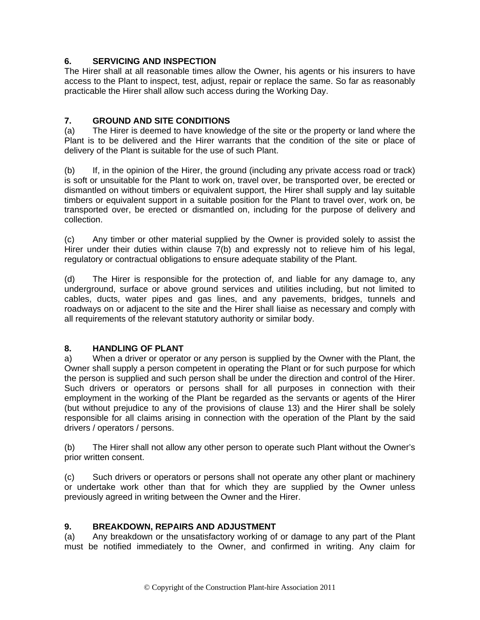# **6. SERVICING AND INSPECTION**

The Hirer shall at all reasonable times allow the Owner, his agents or his insurers to have access to the Plant to inspect, test, adjust, repair or replace the same. So far as reasonably practicable the Hirer shall allow such access during the Working Day.

# **7. GROUND AND SITE CONDITIONS**

(a) The Hirer is deemed to have knowledge of the site or the property or land where the Plant is to be delivered and the Hirer warrants that the condition of the site or place of delivery of the Plant is suitable for the use of such Plant.

(b) If, in the opinion of the Hirer, the ground (including any private access road or track) is soft or unsuitable for the Plant to work on, travel over, be transported over, be erected or dismantled on without timbers or equivalent support, the Hirer shall supply and lay suitable timbers or equivalent support in a suitable position for the Plant to travel over, work on, be transported over, be erected or dismantled on, including for the purpose of delivery and collection.

(c) Any timber or other material supplied by the Owner is provided solely to assist the Hirer under their duties within clause 7(b) and expressly not to relieve him of his legal, regulatory or contractual obligations to ensure adequate stability of the Plant.

(d) The Hirer is responsible for the protection of, and liable for any damage to, any underground, surface or above ground services and utilities including, but not limited to cables, ducts, water pipes and gas lines, and any pavements, bridges, tunnels and roadways on or adjacent to the site and the Hirer shall liaise as necessary and comply with all requirements of the relevant statutory authority or similar body.

## **8. HANDLING OF PLANT**

a) When a driver or operator or any person is supplied by the Owner with the Plant, the Owner shall supply a person competent in operating the Plant or for such purpose for which the person is supplied and such person shall be under the direction and control of the Hirer. Such drivers or operators or persons shall for all purposes in connection with their employment in the working of the Plant be regarded as the servants or agents of the Hirer (but without prejudice to any of the provisions of clause 13) and the Hirer shall be solely responsible for all claims arising in connection with the operation of the Plant by the said drivers / operators / persons.

(b) The Hirer shall not allow any other person to operate such Plant without the Owner's prior written consent.

(c) Such drivers or operators or persons shall not operate any other plant or machinery or undertake work other than that for which they are supplied by the Owner unless previously agreed in writing between the Owner and the Hirer.

### **9. BREAKDOWN, REPAIRS AND ADJUSTMENT**

(a) Any breakdown or the unsatisfactory working of or damage to any part of the Plant must be notified immediately to the Owner, and confirmed in writing. Any claim for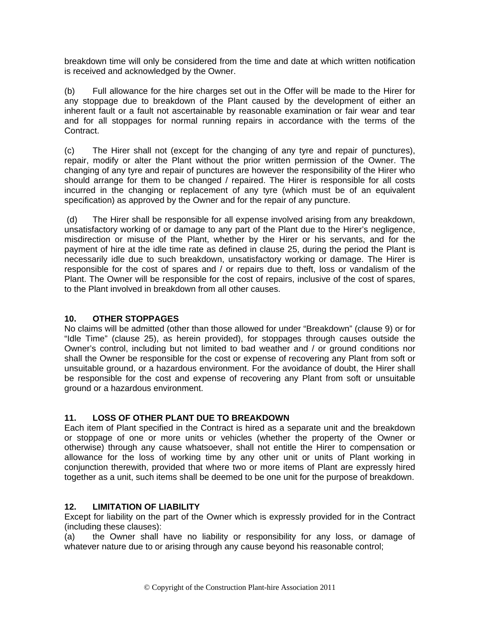breakdown time will only be considered from the time and date at which written notification is received and acknowledged by the Owner.

(b) Full allowance for the hire charges set out in the Offer will be made to the Hirer for any stoppage due to breakdown of the Plant caused by the development of either an inherent fault or a fault not ascertainable by reasonable examination or fair wear and tear and for all stoppages for normal running repairs in accordance with the terms of the Contract.

(c) The Hirer shall not (except for the changing of any tyre and repair of punctures), repair, modify or alter the Plant without the prior written permission of the Owner. The changing of any tyre and repair of punctures are however the responsibility of the Hirer who should arrange for them to be changed / repaired. The Hirer is responsible for all costs incurred in the changing or replacement of any tyre (which must be of an equivalent specification) as approved by the Owner and for the repair of any puncture.

 (d) The Hirer shall be responsible for all expense involved arising from any breakdown, unsatisfactory working of or damage to any part of the Plant due to the Hirer's negligence, misdirection or misuse of the Plant, whether by the Hirer or his servants, and for the payment of hire at the idle time rate as defined in clause 25, during the period the Plant is necessarily idle due to such breakdown, unsatisfactory working or damage. The Hirer is responsible for the cost of spares and / or repairs due to theft, loss or vandalism of the Plant. The Owner will be responsible for the cost of repairs, inclusive of the cost of spares, to the Plant involved in breakdown from all other causes.

### **10. OTHER STOPPAGES**

No claims will be admitted (other than those allowed for under "Breakdown" (clause 9) or for "Idle Time" (clause 25), as herein provided), for stoppages through causes outside the Owner's control, including but not limited to bad weather and / or ground conditions nor shall the Owner be responsible for the cost or expense of recovering any Plant from soft or unsuitable ground, or a hazardous environment. For the avoidance of doubt, the Hirer shall be responsible for the cost and expense of recovering any Plant from soft or unsuitable ground or a hazardous environment.

# **11. LOSS OF OTHER PLANT DUE TO BREAKDOWN**

Each item of Plant specified in the Contract is hired as a separate unit and the breakdown or stoppage of one or more units or vehicles (whether the property of the Owner or otherwise) through any cause whatsoever, shall not entitle the Hirer to compensation or allowance for the loss of working time by any other unit or units of Plant working in conjunction therewith, provided that where two or more items of Plant are expressly hired together as a unit, such items shall be deemed to be one unit for the purpose of breakdown.

### **12. LIMITATION OF LIABILITY**

Except for liability on the part of the Owner which is expressly provided for in the Contract (including these clauses):

(a) the Owner shall have no liability or responsibility for any loss, or damage of whatever nature due to or arising through any cause beyond his reasonable control;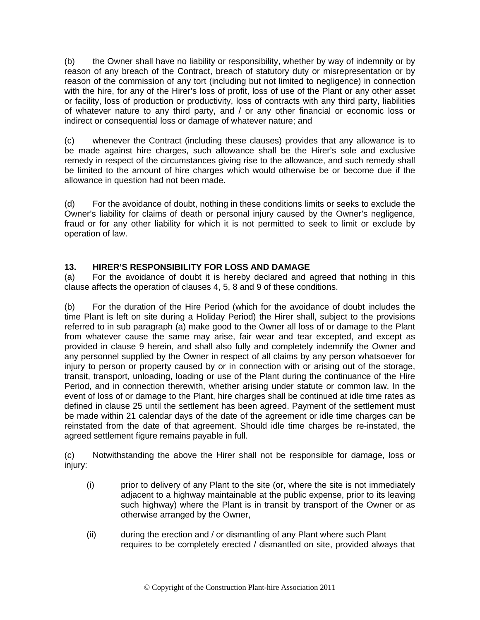(b) the Owner shall have no liability or responsibility, whether by way of indemnity or by reason of any breach of the Contract, breach of statutory duty or misrepresentation or by reason of the commission of any tort (including but not limited to negligence) in connection with the hire, for any of the Hirer's loss of profit, loss of use of the Plant or any other asset or facility, loss of production or productivity, loss of contracts with any third party, liabilities of whatever nature to any third party, and / or any other financial or economic loss or indirect or consequential loss or damage of whatever nature; and

(c) whenever the Contract (including these clauses) provides that any allowance is to be made against hire charges, such allowance shall be the Hirer's sole and exclusive remedy in respect of the circumstances giving rise to the allowance, and such remedy shall be limited to the amount of hire charges which would otherwise be or become due if the allowance in question had not been made.

(d) For the avoidance of doubt, nothing in these conditions limits or seeks to exclude the Owner's liability for claims of death or personal injury caused by the Owner's negligence, fraud or for any other liability for which it is not permitted to seek to limit or exclude by operation of law.

# **13. HIRER'S RESPONSIBILITY FOR LOSS AND DAMAGE**

(a) For the avoidance of doubt it is hereby declared and agreed that nothing in this clause affects the operation of clauses 4, 5, 8 and 9 of these conditions.

(b) For the duration of the Hire Period (which for the avoidance of doubt includes the time Plant is left on site during a Holiday Period) the Hirer shall, subject to the provisions referred to in sub paragraph (a) make good to the Owner all loss of or damage to the Plant from whatever cause the same may arise, fair wear and tear excepted, and except as provided in clause 9 herein, and shall also fully and completely indemnify the Owner and any personnel supplied by the Owner in respect of all claims by any person whatsoever for injury to person or property caused by or in connection with or arising out of the storage, transit, transport, unloading, loading or use of the Plant during the continuance of the Hire Period, and in connection therewith, whether arising under statute or common law. In the event of loss of or damage to the Plant, hire charges shall be continued at idle time rates as defined in clause 25 until the settlement has been agreed. Payment of the settlement must be made within 21 calendar days of the date of the agreement or idle time charges can be reinstated from the date of that agreement. Should idle time charges be re-instated, the agreed settlement figure remains payable in full.

(c) Notwithstanding the above the Hirer shall not be responsible for damage, loss or injury:

- (i) prior to delivery of any Plant to the site (or, where the site is not immediately adjacent to a highway maintainable at the public expense, prior to its leaving such highway) where the Plant is in transit by transport of the Owner or as otherwise arranged by the Owner,
- (ii) during the erection and / or dismantling of any Plant where such Plant requires to be completely erected / dismantled on site, provided always that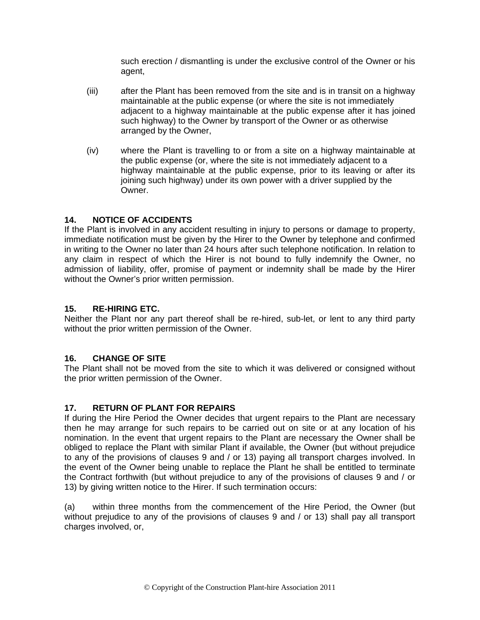such erection / dismantling is under the exclusive control of the Owner or his agent,

- (iii) after the Plant has been removed from the site and is in transit on a highway maintainable at the public expense (or where the site is not immediately adjacent to a highway maintainable at the public expense after it has joined such highway) to the Owner by transport of the Owner or as otherwise arranged by the Owner,
- (iv) where the Plant is travelling to or from a site on a highway maintainable at the public expense (or, where the site is not immediately adjacent to a highway maintainable at the public expense, prior to its leaving or after its joining such highway) under its own power with a driver supplied by the Owner.

# **14. NOTICE OF ACCIDENTS**

If the Plant is involved in any accident resulting in injury to persons or damage to property, immediate notification must be given by the Hirer to the Owner by telephone and confirmed in writing to the Owner no later than 24 hours after such telephone notification. In relation to any claim in respect of which the Hirer is not bound to fully indemnify the Owner, no admission of liability, offer, promise of payment or indemnity shall be made by the Hirer without the Owner's prior written permission.

## **15. RE-HIRING ETC.**

Neither the Plant nor any part thereof shall be re-hired, sub-let, or lent to any third party without the prior written permission of the Owner.

### **16. CHANGE OF SITE**

The Plant shall not be moved from the site to which it was delivered or consigned without the prior written permission of the Owner.

### **17. RETURN OF PLANT FOR REPAIRS**

If during the Hire Period the Owner decides that urgent repairs to the Plant are necessary then he may arrange for such repairs to be carried out on site or at any location of his nomination. In the event that urgent repairs to the Plant are necessary the Owner shall be obliged to replace the Plant with similar Plant if available, the Owner (but without prejudice to any of the provisions of clauses 9 and / or 13) paying all transport charges involved. In the event of the Owner being unable to replace the Plant he shall be entitled to terminate the Contract forthwith (but without prejudice to any of the provisions of clauses 9 and / or 13) by giving written notice to the Hirer. If such termination occurs:

(a) within three months from the commencement of the Hire Period, the Owner (but without prejudice to any of the provisions of clauses 9 and / or 13) shall pay all transport charges involved, or,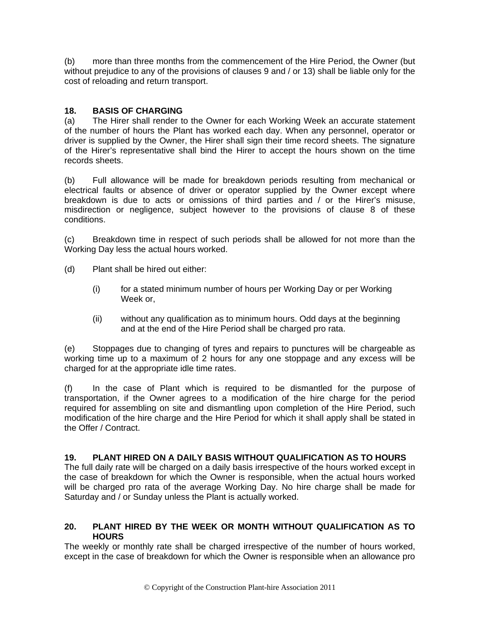(b) more than three months from the commencement of the Hire Period, the Owner (but without prejudice to any of the provisions of clauses 9 and / or 13) shall be liable only for the cost of reloading and return transport.

# **18. BASIS OF CHARGING**

(a) The Hirer shall render to the Owner for each Working Week an accurate statement of the number of hours the Plant has worked each day. When any personnel, operator or driver is supplied by the Owner, the Hirer shall sign their time record sheets. The signature of the Hirer's representative shall bind the Hirer to accept the hours shown on the time records sheets.

(b) Full allowance will be made for breakdown periods resulting from mechanical or electrical faults or absence of driver or operator supplied by the Owner except where breakdown is due to acts or omissions of third parties and / or the Hirer's misuse, misdirection or negligence, subject however to the provisions of clause 8 of these conditions.

(c) Breakdown time in respect of such periods shall be allowed for not more than the Working Day less the actual hours worked.

- (d) Plant shall be hired out either:
	- (i) for a stated minimum number of hours per Working Day or per Working Week or,
	- (ii) without any qualification as to minimum hours. Odd days at the beginning and at the end of the Hire Period shall be charged pro rata.

(e) Stoppages due to changing of tyres and repairs to punctures will be chargeable as working time up to a maximum of 2 hours for any one stoppage and any excess will be charged for at the appropriate idle time rates.

(f) In the case of Plant which is required to be dismantled for the purpose of transportation, if the Owner agrees to a modification of the hire charge for the period required for assembling on site and dismantling upon completion of the Hire Period, such modification of the hire charge and the Hire Period for which it shall apply shall be stated in the Offer / Contract.

### **19. PLANT HIRED ON A DAILY BASIS WITHOUT QUALIFICATION AS TO HOURS**

The full daily rate will be charged on a daily basis irrespective of the hours worked except in the case of breakdown for which the Owner is responsible, when the actual hours worked will be charged pro rata of the average Working Day. No hire charge shall be made for Saturday and / or Sunday unless the Plant is actually worked.

### **20. PLANT HIRED BY THE WEEK OR MONTH WITHOUT QUALIFICATION AS TO HOURS**

The weekly or monthly rate shall be charged irrespective of the number of hours worked, except in the case of breakdown for which the Owner is responsible when an allowance pro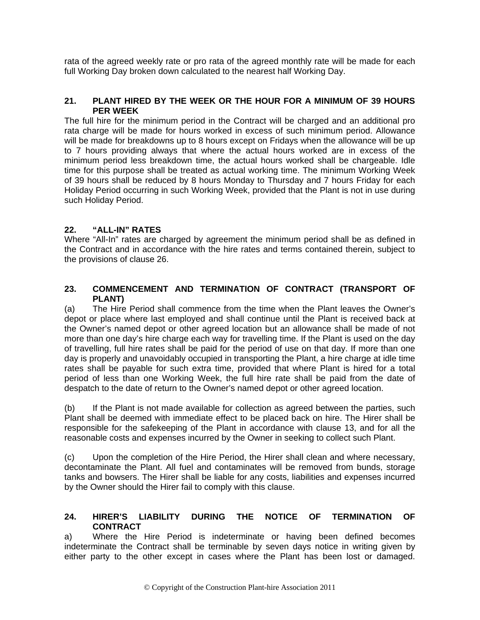rata of the agreed weekly rate or pro rata of the agreed monthly rate will be made for each full Working Day broken down calculated to the nearest half Working Day.

#### **21. PLANT HIRED BY THE WEEK OR THE HOUR FOR A MINIMUM OF 39 HOURS PER WEEK**

The full hire for the minimum period in the Contract will be charged and an additional pro rata charge will be made for hours worked in excess of such minimum period. Allowance will be made for breakdowns up to 8 hours except on Fridays when the allowance will be up to 7 hours providing always that where the actual hours worked are in excess of the minimum period less breakdown time, the actual hours worked shall be chargeable. Idle time for this purpose shall be treated as actual working time. The minimum Working Week of 39 hours shall be reduced by 8 hours Monday to Thursday and 7 hours Friday for each Holiday Period occurring in such Working Week, provided that the Plant is not in use during such Holiday Period.

### **22. "ALL-IN" RATES**

Where "All-In" rates are charged by agreement the minimum period shall be as defined in the Contract and in accordance with the hire rates and terms contained therein, subject to the provisions of clause 26.

#### **23. COMMENCEMENT AND TERMINATION OF CONTRACT (TRANSPORT OF PLANT)**

(a) The Hire Period shall commence from the time when the Plant leaves the Owner's depot or place where last employed and shall continue until the Plant is received back at the Owner's named depot or other agreed location but an allowance shall be made of not more than one day's hire charge each way for travelling time. If the Plant is used on the day of travelling, full hire rates shall be paid for the period of use on that day. If more than one day is properly and unavoidably occupied in transporting the Plant, a hire charge at idle time rates shall be payable for such extra time, provided that where Plant is hired for a total period of less than one Working Week, the full hire rate shall be paid from the date of despatch to the date of return to the Owner's named depot or other agreed location.

(b) If the Plant is not made available for collection as agreed between the parties, such Plant shall be deemed with immediate effect to be placed back on hire. The Hirer shall be responsible for the safekeeping of the Plant in accordance with clause 13, and for all the reasonable costs and expenses incurred by the Owner in seeking to collect such Plant.

(c) Upon the completion of the Hire Period, the Hirer shall clean and where necessary, decontaminate the Plant. All fuel and contaminates will be removed from bunds, storage tanks and bowsers. The Hirer shall be liable for any costs, liabilities and expenses incurred by the Owner should the Hirer fail to comply with this clause.

#### **24. HIRER'S LIABILITY DURING THE NOTICE OF TERMINATION OF CONTRACT**

a) Where the Hire Period is indeterminate or having been defined becomes indeterminate the Contract shall be terminable by seven days notice in writing given by either party to the other except in cases where the Plant has been lost or damaged.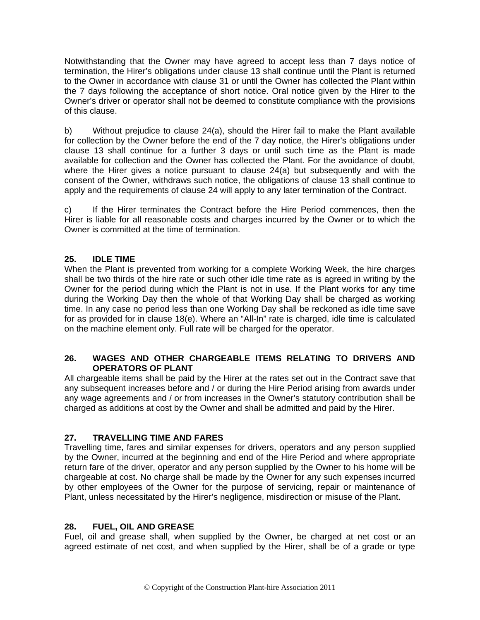Notwithstanding that the Owner may have agreed to accept less than 7 days notice of termination, the Hirer's obligations under clause 13 shall continue until the Plant is returned to the Owner in accordance with clause 31 or until the Owner has collected the Plant within the 7 days following the acceptance of short notice. Oral notice given by the Hirer to the Owner's driver or operator shall not be deemed to constitute compliance with the provisions of this clause.

b) Without prejudice to clause 24(a), should the Hirer fail to make the Plant available for collection by the Owner before the end of the 7 day notice, the Hirer's obligations under clause 13 shall continue for a further 3 days or until such time as the Plant is made available for collection and the Owner has collected the Plant. For the avoidance of doubt, where the Hirer gives a notice pursuant to clause 24(a) but subsequently and with the consent of the Owner, withdraws such notice, the obligations of clause 13 shall continue to apply and the requirements of clause 24 will apply to any later termination of the Contract.

c) If the Hirer terminates the Contract before the Hire Period commences, then the Hirer is liable for all reasonable costs and charges incurred by the Owner or to which the Owner is committed at the time of termination.

# **25. IDLE TIME**

When the Plant is prevented from working for a complete Working Week, the hire charges shall be two thirds of the hire rate or such other idle time rate as is agreed in writing by the Owner for the period during which the Plant is not in use. If the Plant works for any time during the Working Day then the whole of that Working Day shall be charged as working time. In any case no period less than one Working Day shall be reckoned as idle time save for as provided for in clause 18(e). Where an "All-In" rate is charged, idle time is calculated on the machine element only. Full rate will be charged for the operator.

### **26. WAGES AND OTHER CHARGEABLE ITEMS RELATING TO DRIVERS AND OPERATORS OF PLANT**

All chargeable items shall be paid by the Hirer at the rates set out in the Contract save that any subsequent increases before and / or during the Hire Period arising from awards under any wage agreements and / or from increases in the Owner's statutory contribution shall be charged as additions at cost by the Owner and shall be admitted and paid by the Hirer.

# **27. TRAVELLING TIME AND FARES**

Travelling time, fares and similar expenses for drivers, operators and any person supplied by the Owner, incurred at the beginning and end of the Hire Period and where appropriate return fare of the driver, operator and any person supplied by the Owner to his home will be chargeable at cost. No charge shall be made by the Owner for any such expenses incurred by other employees of the Owner for the purpose of servicing, repair or maintenance of Plant, unless necessitated by the Hirer's negligence, misdirection or misuse of the Plant.

### **28. FUEL, OIL AND GREASE**

Fuel, oil and grease shall, when supplied by the Owner, be charged at net cost or an agreed estimate of net cost, and when supplied by the Hirer, shall be of a grade or type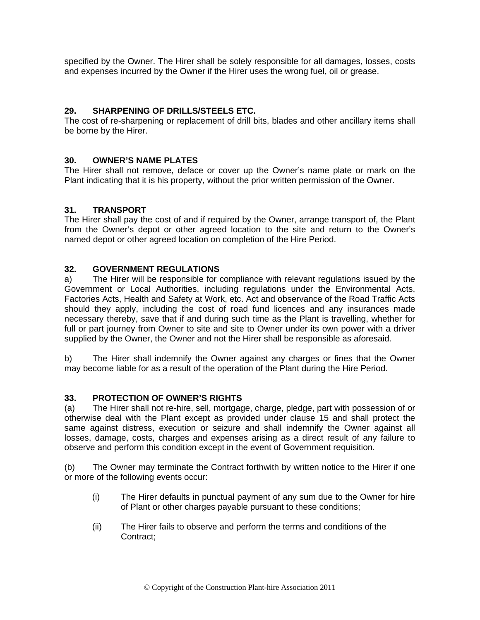specified by the Owner. The Hirer shall be solely responsible for all damages, losses, costs and expenses incurred by the Owner if the Hirer uses the wrong fuel, oil or grease.

## **29. SHARPENING OF DRILLS/STEELS ETC.**

The cost of re-sharpening or replacement of drill bits, blades and other ancillary items shall be borne by the Hirer.

### **30. OWNER'S NAME PLATES**

The Hirer shall not remove, deface or cover up the Owner's name plate or mark on the Plant indicating that it is his property, without the prior written permission of the Owner.

#### **31. TRANSPORT**

The Hirer shall pay the cost of and if required by the Owner, arrange transport of, the Plant from the Owner's depot or other agreed location to the site and return to the Owner's named depot or other agreed location on completion of the Hire Period.

#### **32. GOVERNMENT REGULATIONS**

a) The Hirer will be responsible for compliance with relevant regulations issued by the Government or Local Authorities, including regulations under the Environmental Acts, Factories Acts, Health and Safety at Work, etc. Act and observance of the Road Traffic Acts should they apply, including the cost of road fund licences and any insurances made necessary thereby, save that if and during such time as the Plant is travelling, whether for full or part journey from Owner to site and site to Owner under its own power with a driver supplied by the Owner, the Owner and not the Hirer shall be responsible as aforesaid.

b) The Hirer shall indemnify the Owner against any charges or fines that the Owner may become liable for as a result of the operation of the Plant during the Hire Period.

#### **33. PROTECTION OF OWNER'S RIGHTS**

(a) The Hirer shall not re-hire, sell, mortgage, charge, pledge, part with possession of or otherwise deal with the Plant except as provided under clause 15 and shall protect the same against distress, execution or seizure and shall indemnify the Owner against all losses, damage, costs, charges and expenses arising as a direct result of any failure to observe and perform this condition except in the event of Government requisition.

(b) The Owner may terminate the Contract forthwith by written notice to the Hirer if one or more of the following events occur:

- (i) The Hirer defaults in punctual payment of any sum due to the Owner for hire of Plant or other charges payable pursuant to these conditions;
- (ii) The Hirer fails to observe and perform the terms and conditions of the Contract;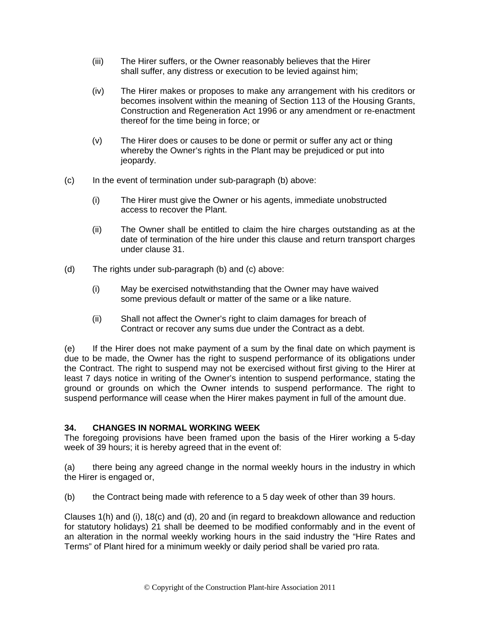- (iii) The Hirer suffers, or the Owner reasonably believes that the Hirer shall suffer, any distress or execution to be levied against him;
- (iv) The Hirer makes or proposes to make any arrangement with his creditors or becomes insolvent within the meaning of Section 113 of the Housing Grants, Construction and Regeneration Act 1996 or any amendment or re-enactment thereof for the time being in force; or
- (v) The Hirer does or causes to be done or permit or suffer any act or thing whereby the Owner's rights in the Plant may be prejudiced or put into jeopardy.
- (c) In the event of termination under sub-paragraph (b) above:
	- (i) The Hirer must give the Owner or his agents, immediate unobstructed access to recover the Plant.
	- (ii) The Owner shall be entitled to claim the hire charges outstanding as at the date of termination of the hire under this clause and return transport charges under clause 31.
- (d) The rights under sub-paragraph (b) and (c) above:
	- (i) May be exercised notwithstanding that the Owner may have waived some previous default or matter of the same or a like nature.
	- (ii) Shall not affect the Owner's right to claim damages for breach of Contract or recover any sums due under the Contract as a debt.

(e) If the Hirer does not make payment of a sum by the final date on which payment is due to be made, the Owner has the right to suspend performance of its obligations under the Contract. The right to suspend may not be exercised without first giving to the Hirer at least 7 days notice in writing of the Owner's intention to suspend performance, stating the ground or grounds on which the Owner intends to suspend performance. The right to suspend performance will cease when the Hirer makes payment in full of the amount due.

### **34. CHANGES IN NORMAL WORKING WEEK**

The foregoing provisions have been framed upon the basis of the Hirer working a 5-day week of 39 hours; it is hereby agreed that in the event of:

(a) there being any agreed change in the normal weekly hours in the industry in which the Hirer is engaged or,

(b) the Contract being made with reference to a 5 day week of other than 39 hours.

Clauses 1(h) and (i), 18(c) and (d), 20 and (in regard to breakdown allowance and reduction for statutory holidays) 21 shall be deemed to be modified conformably and in the event of an alteration in the normal weekly working hours in the said industry the "Hire Rates and Terms" of Plant hired for a minimum weekly or daily period shall be varied pro rata.